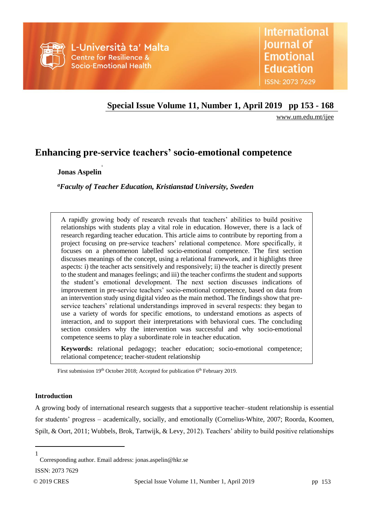

# **Special Issue Volume 11, Number 1, April 2019 pp 153 - 168**

[www.um.edu.mt/ijee](http://www.um.edu.mt/ijee)

# **Enhancing pre-service teachers' socio-emotional competence**

**Jonas Aspelin 1**

*<sup>a</sup>Faculty of Teacher Education, Kristianstad University, Sweden*

A rapidly growing body of research reveals that teachers' abilities to build positive relationships with students play a vital role in education. However, there is a lack of research regarding teacher education. This article aims to contribute by reporting from a project focusing on pre-service teachers' relational competence. More specifically, it focuses on a phenomenon labelled socio-emotional competence. The first section discusses meanings of the concept, using a relational framework, and it highlights three aspects: i) the teacher acts sensitively and responsively; ii) the teacher is directly present to the student and manages feelings; and iii) the teacher confirms the student and supports the student's emotional development. The next section discusses indications of improvement in pre-service teachers' socio-emotional competence, based on data from an intervention study using digital video as the main method. The findings show that preservice teachers' relational understandings improved in several respects: they began to use a variety of words for specific emotions, to understand emotions as aspects of interaction, and to support their interpretations with behavioral cues. The concluding section considers why the intervention was successful and why socio-emotional competence seems to play a subordinate role in teacher education.

**Keywords:** relational pedagogy; teacher education; socio-emotional competence; relational competence; teacher-student relationship

First submission 19<sup>th</sup> October 2018; Accepted for publication 6<sup>th</sup> February 2019.

## **Introduction**

A growing body of international research suggests that a supportive teacher–student relationship is essential for students' progress – academically, socially, and emotionally (Cornelius-White, 2007; Roorda, Koomen, Spilt, & Oort, 2011; Wubbels, Brok, Tartwijk, & Levy, 2012). Teachers' ability to build positive relationships

 $\overline{a}$ 1

Corresponding author. Email address: jonas.aspelin@hkr.se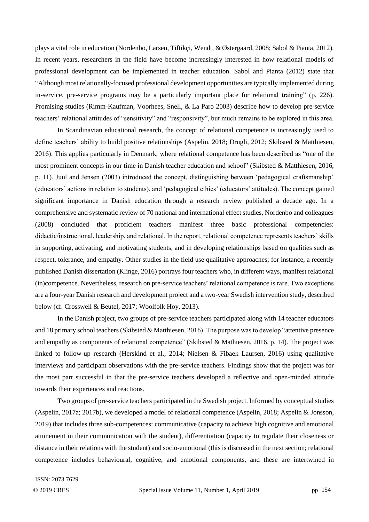plays a vital role in education (Nordenbo, Larsen, Tiftikçi, Wendt, & Østergaard, 2008; Sabol & Pianta, 2012). In recent years, researchers in the field have become increasingly interested in how relational models of professional development can be implemented in teacher education. Sabol and Pianta (2012) state that "Although most relationally-focused professional development opportunities are typically implemented during in-service, pre-service programs may be a particularly important place for relational training" (p. 226). Promising studies (Rimm-Kaufman, Voorhees, Snell, & La Paro 2003) describe how to develop pre-service teachers' relational attitudes of "sensitivity" and "responsivity", but much remains to be explored in this area.

In Scandinavian educational research, the concept of relational competence is increasingly used to define teachers' ability to build positive relationships (Aspelin, 2018; Drugli, 2012; Skibsted & Matthiesen, 2016). This applies particularly in Denmark, where relational competence has been described as "one of the most prominent concepts in our time in Danish teacher education and school" (Skibsted & Matthiesen, 2016, p. 11). Juul and Jensen (2003) introduced the concept, distinguishing between 'pedagogical craftsmanship' (educators' actions in relation to students), and 'pedagogical ethics' (educators' attitudes). The concept gained significant importance in Danish education through a research review published a decade ago. In a comprehensive and systematic review of 70 national and international effect studies, Nordenbo and colleagues (2008) concluded that proficient teachers manifest three basic professional competencies: didactic/instructional, leadership, and relational. In the report, relational competence represents teachers' skills in supporting, activating, and motivating students, and in developing relationships based on qualities such as respect, tolerance, and empathy. Other studies in the field use qualitative approaches; for instance, a recently published Danish dissertation (Klinge, 2016) portrays four teachers who, in different ways, manifest relational (in)competence. Nevertheless, research on pre-service teachers' relational competence is rare. Two exceptions are a four-year Danish research and development project and a two-year Swedish intervention study, described below (cf. Crosswell & Beutel, 2017; Woolfolk Hoy, 2013).

In the Danish project, two groups of pre-service teachers participated along with 14 teacher educators and 18 primary school teachers (Skibsted & Matthiesen, 2016). The purpose was to develop "attentive presence and empathy as components of relational competence" (Skibsted & Mathiesen, 2016, p. 14). The project was linked to follow-up research (Herskind et al., 2014; Nielsen & Fibaek Laursen, 2016) using qualitative interviews and participant observations with the pre-service teachers. Findings show that the project was for the most part successful in that the pre-service teachers developed a reflective and open-minded attitude towards their experiences and reactions.

Two groups of pre-service teachers participated in the Swedish project. Informed by conceptual studies (Aspelin, 2017a; 2017b), we developed a model of relational competence (Aspelin, 2018; Aspelin & Jonsson, 2019) that includes three sub-competences: communicative (capacity to achieve high cognitive and emotional attunement in their communication with the student), differentiation (capacity to regulate their closeness or distance in their relations with the student) and socio-emotional (this is discussed in the next section; relational competence includes behavioural, cognitive, and emotional components, and these are intertwined in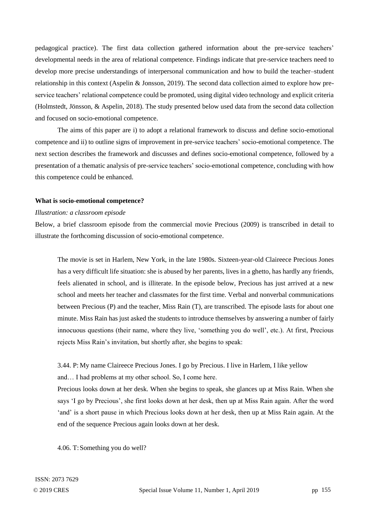pedagogical practice). The first data collection gathered information about the pre-service teachers' developmental needs in the area of relational competence. Findings indicate that pre-service teachers need to develop more precise understandings of interpersonal communication and how to build the teacher–student relationship in this context (Aspelin & Jonsson, 2019). The second data collection aimed to explore how preservice teachers' relational competence could be promoted, using digital video technology and explicit criteria (Holmstedt, Jönsson, & Aspelin, 2018). The study presented below used data from the second data collection and focused on socio-emotional competence.

The aims of this paper are i) to adopt a relational framework to discuss and define socio-emotional competence and ii) to outline signs of improvement in pre-service teachers' socio-emotional competence. The next section describes the framework and discusses and defines socio-emotional competence, followed by a presentation of a thematic analysis of pre-service teachers' socio-emotional competence, concluding with how this competence could be enhanced.

#### **What is socio-emotional competence?**

#### *Illustration: a classroom episode*

Below, a brief classroom episode from the commercial movie Precious (2009) is transcribed in detail to illustrate the forthcoming discussion of socio-emotional competence.

The movie is set in Harlem, New York, in the late 1980s. Sixteen-year-old Claireece Precious Jones has a very difficult life situation: she is abused by her parents, lives in a ghetto, has hardly any friends, feels alienated in school, and is illiterate. In the episode below, Precious has just arrived at a new school and meets her teacher and classmates for the first time. Verbal and nonverbal communications between Precious (P) and the teacher, Miss Rain (T), are transcribed. The episode lasts for about one minute. Miss Rain has just asked the students to introduce themselves by answering a number of fairly innocuous questions (their name, where they live, 'something you do well', etc.). At first, Precious rejects Miss Rain's invitation, but shortly after, she begins to speak:

3.44. P: My name Claireece Precious Jones. I go by Precious. I live in Harlem, I like yellow and… I had problems at my other school. So, I come here.

Precious looks down at her desk. When she begins to speak, she glances up at Miss Rain. When she says 'I go by Precious', she first looks down at her desk, then up at Miss Rain again. After the word 'and' is a short pause in which Precious looks down at her desk, then up at Miss Rain again. At the end of the sequence Precious again looks down at her desk.

4.06. T:Something you do well?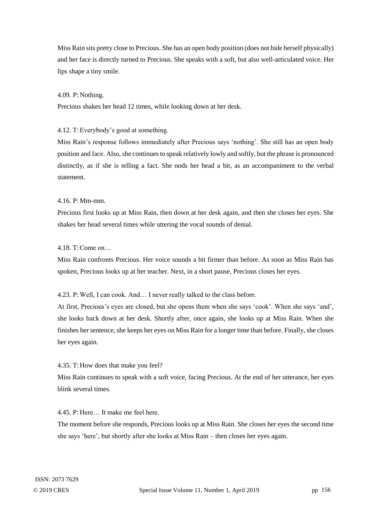Miss Rain sits pretty close to Precious. She has an open body position (does not hide herself physically) and her face is directly turned to Precious. She speaks with a soft, but also well-articulated voice. Her lips shape a tiny smile.

## 4.09. P: Nothing.

Precious shakes her head 12 times, while looking down at her desk.

## 4.12. T:Everybody's good at something.

Miss Rain's response follows immediately after Precious says 'nothing'. She still has an open body position and face. Also, she continues to speak relatively lowly and softly, but the phrase is pronounced distinctly, as if she is telling a fact. She nods her head a bit, as an accompaniment to the verbal statement.

## 4.16. P: Mm-mm.

Precious first looks up at Miss Rain, then down at her desk again, and then she closes her eyes. She shakes her head several times while uttering the vocal sounds of denial.

## 4.18. T:Come on…

Miss Rain confronts Precious. Her voice sounds a bit firmer than before. As soon as Miss Rain has spoken, Precious looks up at her teacher. Next, in a short pause, Precious closes her eyes.

## 4.23. P: Well, I can cook. And… I never really talked to the class before.

At first, Precious's eyes are closed, but she opens them when she says 'cook'. When she says 'and', she looks back down at her desk. Shortly after, once again, she looks up at Miss Rain. When she finishes her sentence, she keeps her eyes on Miss Rain for a longer time than before. Finally, she closes her eyes again.

#### 4.35. T:How does that make you feel?

Miss Rain continues to speak with a soft voice, facing Precious. At the end of her utterance, her eyes blink several times.

#### 4.45. P: Here… It make me feel here.

The moment before she responds, Precious looks up at Miss Rain. She closes her eyes the second time she says 'here', but shortly after she looks at Miss Rain – then closes her eyes again.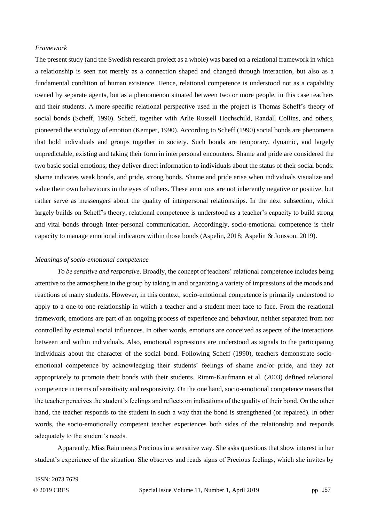## *Framework*

The present study (and the Swedish research project as a whole) was based on a relational framework in which a relationship is seen not merely as a connection shaped and changed through interaction, but also as a fundamental condition of human existence. Hence, relational competence is understood not as a capability owned by separate agents, but as a phenomenon situated between two or more people, in this case teachers and their students. A more specific relational perspective used in the project is Thomas Scheff's theory of social bonds (Scheff, 1990). Scheff, together with Arlie Russell Hochschild, Randall Collins, and others, pioneered the sociology of emotion (Kemper, 1990). According to Scheff (1990) social bonds are phenomena that hold individuals and groups together in society. Such bonds are temporary, dynamic, and largely unpredictable, existing and taking their form in interpersonal encounters. Shame and pride are considered the two basic social emotions; they deliver direct information to individuals about the status of their social bonds: shame indicates weak bonds, and pride, strong bonds. Shame and pride arise when individuals visualize and value their own behaviours in the eyes of others. These emotions are not inherently negative or positive, but rather serve as messengers about the quality of interpersonal relationships. In the next subsection, which largely builds on Scheff's theory, relational competence is understood as a teacher's capacity to build strong and vital bonds through inter-personal communication. Accordingly, socio-emotional competence is their capacity to manage emotional indicators within those bonds (Aspelin, 2018; Aspelin & Jonsson, 2019).

#### *Meanings of socio-emotional competence*

*To be sensitive and responsive.* Broadly, the concept of teachers' relational competence includes being attentive to the atmosphere in the group by taking in and organizing a variety of impressions of the moods and reactions of many students. However, in this context, socio-emotional competence is primarily understood to apply to a one-to-one-relationship in which a teacher and a student meet face to face. From the relational framework, emotions are part of an ongoing process of experience and behaviour, neither separated from nor controlled by external social influences. In other words, emotions are conceived as aspects of the interactions between and within individuals. Also, emotional expressions are understood as signals to the participating individuals about the character of the social bond. Following Scheff (1990), teachers demonstrate socioemotional competence by acknowledging their students' feelings of shame and/or pride, and they act appropriately to promote their bonds with their students. Rimm-Kaufmann et al. (2003) defined relational competence in terms of sensitivity and responsivity. On the one hand, socio-emotional competence means that the teacher perceives the student's feelings and reflects on indications of the quality of their bond. On the other hand, the teacher responds to the student in such a way that the bond is strengthened (or repaired). In other words, the socio-emotionally competent teacher experiences both sides of the relationship and responds adequately to the student's needs.

Apparently, Miss Rain meets Precious in a sensitive way. She asks questions that show interest in her student's experience of the situation. She observes and reads signs of Precious feelings, which she invites by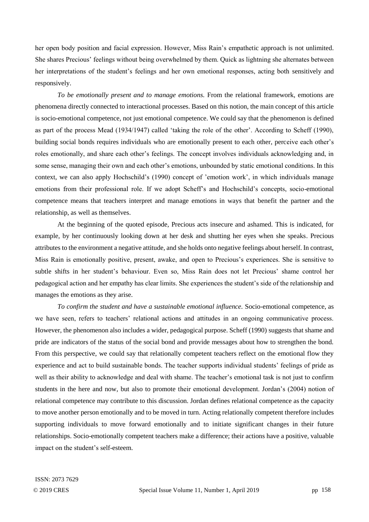her open body position and facial expression. However, Miss Rain's empathetic approach is not unlimited. She shares Precious' feelings without being overwhelmed by them. Quick as lightning she alternates between her interpretations of the student's feelings and her own emotional responses, acting both sensitively and responsively.

*To be emotionally present and to manage emotions.* From the relational framework, emotions are phenomena directly connected to interactional processes. Based on this notion, the main concept of this article is socio-emotional competence, not just emotional competence. We could say that the phenomenon is defined as part of the process Mead (1934/1947) called 'taking the role of the other'. According to Scheff (1990), building social bonds requires individuals who are emotionally present to each other, perceive each other's roles emotionally, and share each other's feelings. The concept involves individuals acknowledging and, in some sense, managing their own and each other's emotions, unbounded by static emotional conditions. In this context, we can also apply Hochschild's (1990) concept of 'emotion work', in which individuals manage emotions from their professional role. If we adopt Scheff's and Hochschild's concepts, socio-emotional competence means that teachers interpret and manage emotions in ways that benefit the partner and the relationship, as well as themselves.

At the beginning of the quoted episode, Precious acts insecure and ashamed. This is indicated, for example, by her continuously looking down at her desk and shutting her eyes when she speaks. Precious attributes to the environment a negative attitude, and she holds onto negative feelings about herself. In contrast, Miss Rain is emotionally positive, present, awake, and open to Precious's experiences. She is sensitive to subtle shifts in her student's behaviour. Even so, Miss Rain does not let Precious' shame control her pedagogical action and her empathy has clear limits. She experiences the student's side of the relationship and manages the emotions as they arise.

*To confirm the student and have a sustainable emotional influence.* Socio-emotional competence, as we have seen, refers to teachers' relational actions and attitudes in an ongoing communicative process. However, the phenomenon also includes a wider, pedagogical purpose. Scheff (1990) suggests that shame and pride are indicators of the status of the social bond and provide messages about how to strengthen the bond. From this perspective, we could say that relationally competent teachers reflect on the emotional flow they experience and act to build sustainable bonds. The teacher supports individual students' feelings of pride as well as their ability to acknowledge and deal with shame. The teacher's emotional task is not just to confirm students in the here and now, but also to promote their emotional development. Jordan's (2004) notion of relational competence may contribute to this discussion. Jordan defines relational competence as the capacity to move another person emotionally and to be moved in turn. Acting relationally competent therefore includes supporting individuals to move forward emotionally and to initiate significant changes in their future relationships. Socio-emotionally competent teachers make a difference; their actions have a positive, valuable impact on the student's self-esteem.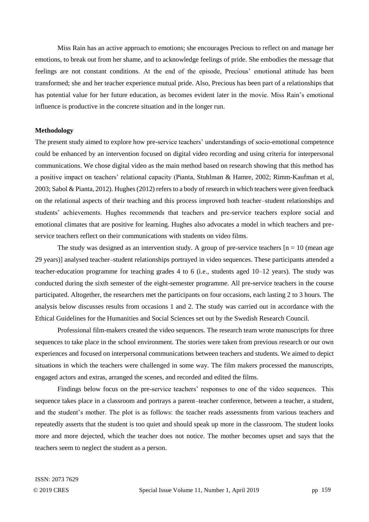Miss Rain has an active approach to emotions; she encourages Precious to reflect on and manage her emotions, to break out from her shame, and to acknowledge feelings of pride. She embodies the message that feelings are not constant conditions. At the end of the episode, Precious' emotional attitude has been transformed; she and her teacher experience mutual pride. Also, Precious has been part of a relationships that has potential value for her future education, as becomes evident later in the movie. Miss Rain's emotional influence is productive in the concrete situation and in the longer run.

#### **Methodology**

The present study aimed to explore how pre-service teachers' understandings of socio-emotional competence could be enhanced by an intervention focused on digital video recording and using criteria for interpersonal communications. We chose digital video as the main method based on research showing that this method has a positive impact on teachers' relational capacity (Pianta, Stuhlman & Hamre, 2002; Rimm-Kaufman et al, 2003; Sabol & Pianta, 2012). Hughes (2012) refers to a body of research in which teachers were given feedback on the relational aspects of their teaching and this process improved both teacher–student relationships and students' achievements. Hughes recommends that teachers and pre-service teachers explore social and emotional climates that are positive for learning. Hughes also advocates a model in which teachers and preservice teachers reflect on their communications with students on video films.

The study was designed as an intervention study. A group of pre-service teachers  $[n = 10$  (mean age 29 years)] analysed teacher–student relationships portrayed in video sequences. These participants attended a teacher-education programme for teaching grades 4 to 6 (i.e., students aged 10–12 years). The study was conducted during the sixth semester of the eight-semester programme. All pre-service teachers in the course participated. Altogether, the researchers met the participants on four occasions, each lasting 2 to 3 hours. The analysis below discusses results from occasions 1 and 2. The study was carried out in accordance with the Ethical Guidelines for the Humanities and Social Sciences set out by the Swedish Research Council.

Professional film-makers created the video sequences. The research team wrote manuscripts for three sequences to take place in the school environment. The stories were taken from previous research or our own experiences and focused on interpersonal communications between teachers and students. We aimed to depict situations in which the teachers were challenged in some way. The film makers processed the manuscripts, engaged actors and extras, arranged the scenes, and recorded and edited the films.

Findings below focus on the pre-service teachers' responses to one of the video sequences. This sequence takes place in a classroom and portrays a parent–teacher conference, between a teacher, a student, and the student's mother. The plot is as follows: the teacher reads assessments from various teachers and repeatedly asserts that the student is too quiet and should speak up more in the classroom. The student looks more and more dejected, which the teacher does not notice. The mother becomes upset and says that the teachers seem to neglect the student as a person.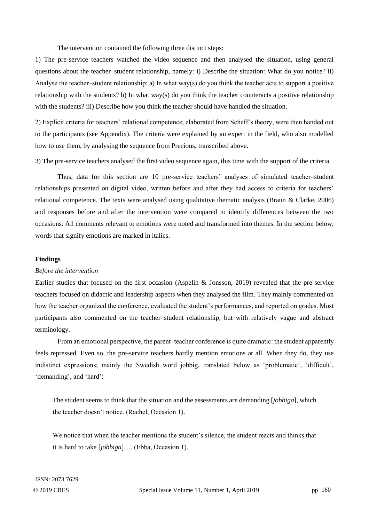The intervention contained the following three distinct steps:

1) The pre-service teachers watched the video sequence and then analysed the situation, using general questions about the teacher–student relationship, namely: i) Describe the situation: What do you notice? ii) Analyse the teacher-student relationship: a) In what way(s) do you think the teacher acts to support a positive relationship with the students? b) In what way(s) do you think the teacher counteracts a positive relationship with the students? iii) Describe how you think the teacher should have handled the situation.

2) Explicit criteria for teachers' relational competence, elaborated from Scheff's theory, were then handed out to the participants (see Appendix). The criteria were explained by an expert in the field, who also modelled how to use them, by analysing the sequence from Precious, transcribed above.

3) The pre-service teachers analysed the first video sequence again, this time with the support of the criteria.

Thus, data for this section are 10 pre-service teachers' analyses of simulated teacher–student relationships presented on digital video, written before and after they had access to criteria for teachers' relational competence. The texts were analysed using qualitative thematic analysis (Braun & Clarke, 2006) and responses before and after the intervention were compared to identify differences between the two occasions. All comments relevant to emotions were noted and transformed into themes. In the section below, words that signify emotions are marked in italics.

#### **Findings**

#### *Before the intervention*

Earlier studies that focused on the first occasion (Aspelin & Jonsson, 2019) revealed that the pre-service teachers focused on didactic and leadership aspects when they analysed the film. They mainly commented on how the teacher organized the conference, evaluated the student's performances, and reported on grades. Most participants also commented on the teacher–student relationship, but with relatively vague and abstract terminology.

From an emotional perspective, the parent–teacher conference is quite dramatic: the student apparently feels repressed. Even so, the pre-service teachers hardly mention emotions at all. When they do, they use indistinct expressions; mainly the Swedish word jobbig, translated below as 'problematic', 'difficult', 'demanding', and 'hard':

The student seems to think that the situation and the assessments are demanding [*jobbiga*], which the teacher doesn't notice. (Rachel, Occasion 1).

We notice that when the teacher mentions the student's silence, the student reacts and thinks that it is hard to take [*jobbiga*]…. (Ebba, Occasion 1).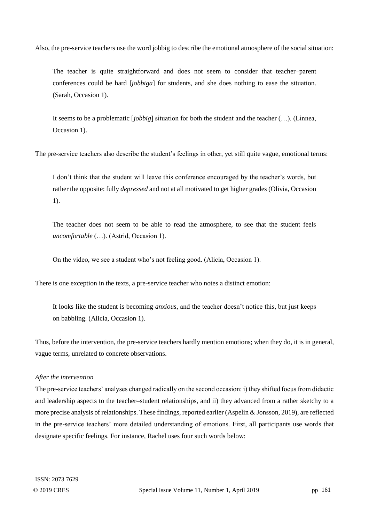Also, the pre-service teachers use the word jobbig to describe the emotional atmosphere of the social situation:

The teacher is quite straightforward and does not seem to consider that teacher–parent conferences could be hard [*jobbiga*] for students, and she does nothing to ease the situation. (Sarah, Occasion 1).

It seems to be a problematic [*jobbig*] situation for both the student and the teacher (…). (Linnea, Occasion 1).

The pre-service teachers also describe the student's feelings in other, yet still quite vague, emotional terms:

I don't think that the student will leave this conference encouraged by the teacher's words, but rather the opposite: fully *depressed* and not at all motivated to get higher grades (Olivia, Occasion 1).

The teacher does not seem to be able to read the atmosphere, to see that the student feels *uncomfortable* (…). (Astrid, Occasion 1).

On the video, we see a student who's not feeling good. (Alicia, Occasion 1).

There is one exception in the texts, a pre-service teacher who notes a distinct emotion:

It looks like the student is becoming *anxious*, and the teacher doesn't notice this, but just keeps on babbling. (Alicia, Occasion 1).

Thus, before the intervention, the pre-service teachers hardly mention emotions; when they do, it is in general, vague terms, unrelated to concrete observations.

## *After the intervention*

The pre-service teachers' analyses changed radically on the second occasion: i) they shifted focus from didactic and leadership aspects to the teacher–student relationships, and ii) they advanced from a rather sketchy to a more precise analysis of relationships. These findings, reported earlier (Aspelin & Jonsson, 2019), are reflected in the pre-service teachers' more detailed understanding of emotions. First, all participants use words that designate specific feelings. For instance, Rachel uses four such words below: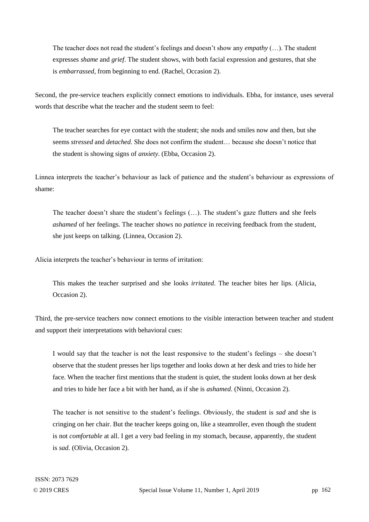The teacher does not read the student's feelings and doesn't show any *empathy* (…). The student expresses *shame* and *grief*. The student shows, with both facial expression and gestures, that she is *embarrassed*, from beginning to end. (Rachel, Occasion 2).

Second, the pre-service teachers explicitly connect emotions to individuals. Ebba, for instance, uses several words that describe what the teacher and the student seem to feel:

The teacher searches for eye contact with the student; she nods and smiles now and then, but she seems *stressed* and *detached*. She does not confirm the student… because she doesn't notice that the student is showing signs of *anxiety*. (Ebba, Occasion 2).

Linnea interprets the teacher's behaviour as lack of patience and the student's behaviour as expressions of shame:

The teacher doesn't share the student's feelings (…). The student's gaze flutters and she feels *ashamed* of her feelings. The teacher shows no *patience* in receiving feedback from the student, she just keeps on talking. (Linnea, Occasion 2).

Alicia interprets the teacher's behaviour in terms of irritation:

This makes the teacher surprised and she looks *irritated*. The teacher bites her lips. (Alicia, Occasion 2).

Third, the pre-service teachers now connect emotions to the visible interaction between teacher and student and support their interpretations with behavioral cues:

I would say that the teacher is not the least responsive to the student's feelings – she doesn't observe that the student presses her lips together and looks down at her desk and tries to hide her face. When the teacher first mentions that the student is quiet, the student looks down at her desk and tries to hide her face a bit with her hand, as if she is *ashamed*. (Ninni, Occasion 2).

The teacher is not sensitive to the student's feelings. Obviously, the student is *sad* and she is cringing on her chair. But the teacher keeps going on, like a steamroller, even though the student is not *comfortable* at all. I get a very bad feeling in my stomach, because, apparently, the student is *sad*. (Olivia, Occasion 2).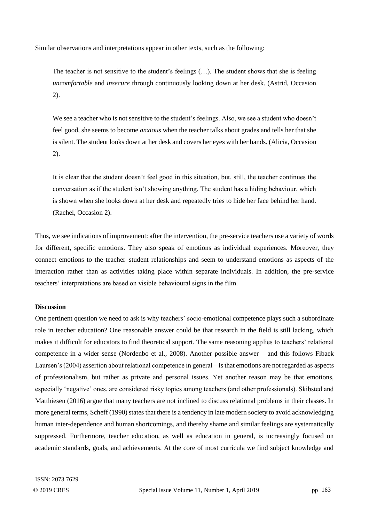Similar observations and interpretations appear in other texts, such as the following:

The teacher is not sensitive to the student's feelings (…). The student shows that she is feeling *uncomfortable* and *insecure* through continuously looking down at her desk. (Astrid, Occasion 2).

We see a teacher who is not sensitive to the student's feelings. Also, we see a student who doesn't feel good, she seems to become *anxious* when the teacher talks about grades and tells her that she is silent. The student looks down at her desk and covers her eyes with her hands. (Alicia, Occasion 2).

It is clear that the student doesn't feel good in this situation, but, still, the teacher continues the conversation as if the student isn't showing anything. The student has a hiding behaviour, which is shown when she looks down at her desk and repeatedly tries to hide her face behind her hand. (Rachel, Occasion 2).

Thus, we see indications of improvement: after the intervention, the pre-service teachers use a variety of words for different, specific emotions. They also speak of emotions as individual experiences. Moreover, they connect emotions to the teacher–student relationships and seem to understand emotions as aspects of the interaction rather than as activities taking place within separate individuals. In addition, the pre-service teachers' interpretations are based on visible behavioural signs in the film.

### **Discussion**

One pertinent question we need to ask is why teachers' socio-emotional competence plays such a subordinate role in teacher education? One reasonable answer could be that research in the field is still lacking, which makes it difficult for educators to find theoretical support. The same reasoning applies to teachers' relational competence in a wider sense (Nordenbo et al., 2008). Another possible answer – and this follows Fibaek Laursen's (2004) assertion about relational competence in general – is that emotions are not regarded as aspects of professionalism, but rather as private and personal issues. Yet another reason may be that emotions, especially 'negative' ones, are considered risky topics among teachers (and other professionals). Skibsted and Matthiesen (2016) argue that many teachers are not inclined to discuss relational problems in their classes. In more general terms, Scheff (1990) states that there is a tendency in late modern society to avoid acknowledging human inter-dependence and human shortcomings, and thereby shame and similar feelings are systematically suppressed. Furthermore, teacher education, as well as education in general, is increasingly focused on academic standards, goals, and achievements. At the core of most curricula we find subject knowledge and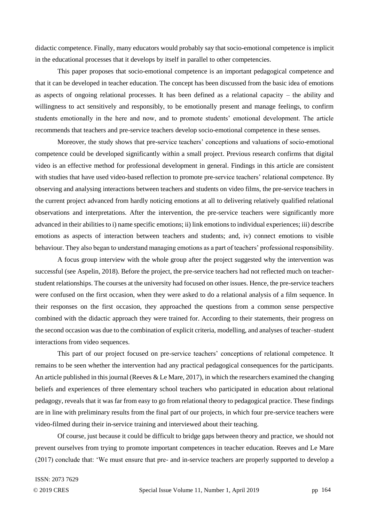didactic competence. Finally, many educators would probably say that socio-emotional competence is implicit in the educational processes that it develops by itself in parallel to other competencies.

This paper proposes that socio-emotional competence is an important pedagogical competence and that it can be developed in teacher education. The concept has been discussed from the basic idea of emotions as aspects of ongoing relational processes. It has been defined as a relational capacity – the ability and willingness to act sensitively and responsibly, to be emotionally present and manage feelings, to confirm students emotionally in the here and now, and to promote students' emotional development. The article recommends that teachers and pre-service teachers develop socio-emotional competence in these senses.

Moreover, the study shows that pre-service teachers' conceptions and valuations of socio-emotional competence could be developed significantly within a small project. Previous research confirms that digital video is an effective method for professional development in general. Findings in this article are consistent with studies that have used video-based reflection to promote pre-service teachers' relational competence. By observing and analysing interactions between teachers and students on video films, the pre-service teachers in the current project advanced from hardly noticing emotions at all to delivering relatively qualified relational observations and interpretations. After the intervention, the pre-service teachers were significantly more advanced in their abilities to i) name specific emotions; ii) link emotions to individual experiences; iii) describe emotions as aspects of interaction between teachers and students; and, iv) connect emotions to visible behaviour. They also began to understand managing emotions as a part of teachers' professional responsibility.

A focus group interview with the whole group after the project suggested why the intervention was successful (see Aspelin, 2018). Before the project, the pre-service teachers had not reflected much on teacherstudent relationships. The courses at the university had focused on other issues. Hence, the pre-service teachers were confused on the first occasion, when they were asked to do a relational analysis of a film sequence. In their responses on the first occasion, they approached the questions from a common sense perspective combined with the didactic approach they were trained for. According to their statements, their progress on the second occasion was due to the combination of explicit criteria, modelling, and analyses of teacher–student interactions from video sequences.

This part of our project focused on pre-service teachers' conceptions of relational competence. It remains to be seen whether the intervention had any practical pedagogical consequences for the participants. An article published in this journal (Reeves & Le Mare, 2017), in which the researchers examined the changing beliefs and experiences of three elementary school teachers who participated in education about relational pedagogy, reveals that it was far from easy to go from relational theory to pedagogical practice. These findings are in line with preliminary results from the final part of our projects, in which four pre-service teachers were video-filmed during their in-service training and interviewed about their teaching.

Of course, just because it could be difficult to bridge gaps between theory and practice, we should not prevent ourselves from trying to promote important competences in teacher education. Reeves and Le Mare (2017) conclude that: 'We must ensure that pre- and in-service teachers are properly supported to develop a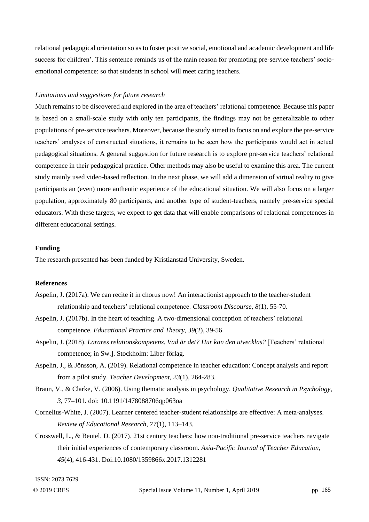relational pedagogical orientation so as to foster positive social, emotional and academic development and life success for children'. This sentence reminds us of the main reason for promoting pre-service teachers' socioemotional competence: so that students in school will meet caring teachers.

## *Limitations and suggestions for future research*

Much remains to be discovered and explored in the area of teachers' relational competence. Because this paper is based on a small-scale study with only ten participants, the findings may not be generalizable to other populations of pre-service teachers. Moreover, because the study aimed to focus on and explore the pre-service teachers' analyses of constructed situations, it remains to be seen how the participants would act in actual pedagogical situations. A general suggestion for future research is to explore pre-service teachers' relational competence in their pedagogical practice. Other methods may also be useful to examine this area. The current study mainly used video-based reflection. In the next phase, we will add a dimension of virtual reality to give participants an (even) more authentic experience of the educational situation. We will also focus on a larger population, approximately 80 participants, and another type of student-teachers, namely pre-service special educators. With these targets, we expect to get data that will enable comparisons of relational competences in different educational settings.

## **Funding**

The research presented has been funded by Kristianstad University, Sweden.

## **References**

- Aspelin, J. (2017a). We can recite it in chorus now! An interactionist approach to the teacher-student relationship and teachers' relational competence. *Classroom Discourse, 8*(1), 55-70.
- Aspelin, J. (2017b). In the heart of teaching. A two-dimensional conception of teachers' relational competence. *Educational Practice and Theory, 39*(2), 39-56.
- Aspelin, J. (2018). *Lärares relationskompetens. Vad är det? Hur kan den utvecklas?* [Teachers' relational competence; in Sw.]. Stockholm: Liber förlag.
- Aspelin, J., & Jönsson, A. (2019). Relational competence in teacher education: Concept analysis and report from a pilot study. *Teacher Development, 23*(1), 264-283.
- Braun, V., & Clarke, V. (2006). Using thematic analysis in psychology. *Qualitative Research in Psychology, 3*, 77–101. doi: 10.1191/1478088706qp063oa
- Cornelius-White, J. (2007). Learner centered teacher-student relationships are effective: A meta-analyses. *Review of Educational Research, 77*(1), 113–143.
- Crosswell, L., & Beutel. D. (2017). 21st century teachers: how non-traditional pre-service teachers navigate their initial experiences of contemporary classroom. *Asia-Pacific Journal of Teacher Education, 45*(4), 416-431. Doi:10.1080/1359866x.2017.1312281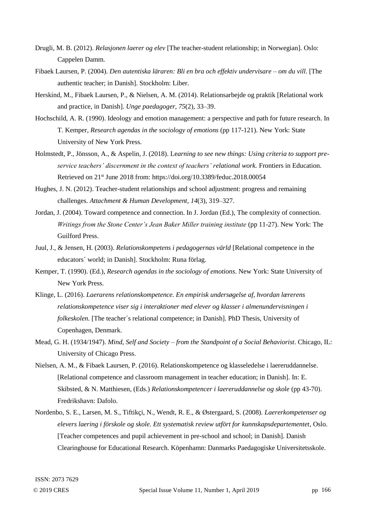- Drugli, M. B. (2012). *Relasjonen laerer og elev* [The teacher-student relationship; in Norwegian]. Oslo: Cappelen Damm.
- Fibaek Laursen, P. (2004). *Den autentiska läraren: Bli en bra och effektiv undervisare – om du vill*. [The authentic teacher; in Danish]. Stockholm: Liber.
- Herskind, M., Fibaek Laursen, P., & Nielsen, A. M. (2014). Relationsarbejde og praktik [Relational work and practice, in Danish]. *Unge paedagoger, 75*(2), 33–39.
- Hochschild, A. R. (1990). Ideology and emotion management: a perspective and path for future research. In T. Kemper, *Research agendas in the sociology of emotions* (pp 117-121). New York: State University of New York Press.
- Holmstedt, P., Jönsson, A., & Aspelin, J. (2018). Le*arning to see new things: Using criteria to support preservice teachers' discernment in the context of teachers' relational work.* Frontiers in Education. Retrieved on 21st June 2018 from: https://doi.org/10.3389/feduc.2018.00054
- Hughes, J. N. (2012). Teacher-student relationships and school adjustment: progress and remaining challenges. *Attachment & Human Development, 14*(3), 319–327.
- Jordan, J. (2004). Toward competence and connection. In J. Jordan (Ed.), The complexity of connection. *Writings from the Stone Center's Jean Baker Miller training institute* (pp 11-27). New York: The Guilford Press.
- Juul, J., & Jensen, H. (2003). *Relationskompetens i pedagogernas värld* [Relational competence in the educators´ world; in Danish]. Stockholm: Runa förlag.
- Kemper, T. (1990). (Ed.), *Research agendas in the sociology of emotions*. New York: State University of New York Press.
- Klinge, L. (2016). *Laerarens relationskompetence. En empirisk undersøgelse af, hvordan lærerens relationskompetence viser sig i interaktioner med elever og klasser i almenundervisningen i folkeskolen.* [The teacher´s relational competence; in Danish]. PhD Thesis, University of Copenhagen, Denmark.
- Mead, G. H. (1934/1947). *Mind, Self and Society – from the Standpoint of a Social Behaviorist*. Chicago, IL: University of Chicago Press.
- Nielsen, A. M., & Fibaek Laursen, P. (2016). Relationskompetence og klasseledelse i laereruddannelse. [Relational competence and classroom management in teacher education; in Danish]. In: E. Skibsted, & N. Matthiesen, (Eds.) *Relationskompetencer i laereruddannelse og skole* (pp 43-70). Fredrikshavn: Dafolo.
- Nordenbo, S. E., Larsen, M. S., Tiftikçi, N., Wendt, R. E., & Østergaard, S. (2008). *Laererkompetenser og elevers laering i förskole og skole. Ett systematisk review utfört for kunnskapsdepartementet*, Oslo. [Teacher competences and pupil achievement in pre-school and school; in Danish]. Danish Clearinghouse for Educational Research. Köpenhamn: Danmarks Paedagogiske Universitetsskole.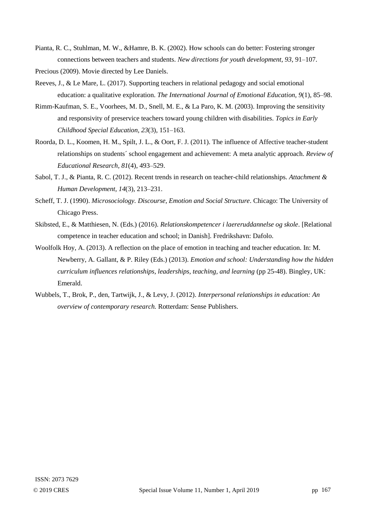- Pianta, R. C., Stuhlman, M. W., &Hamre, B. K. (2002). How schools can do better: Fostering stronger connections between teachers and students. *New directions for youth development, 93*, 91–107.
- Precious (2009). Movie directed by Lee Daniels.
- Reeves, J., & Le Mare, L. (2017). Supporting teachers in relational pedagogy and social emotional education: a qualitative exploration. *The International Journal of Emotional Education, 9*(1), 85–98.
- Rimm-Kaufman, S. E., Voorhees, M. D., Snell, M. E., & La Paro, K. M. (2003). Improving the sensitivity and responsivity of preservice teachers toward young children with disabilities. *Topics in Early Childhood Special Education, 23*(3), 151–163.
- Roorda, D. L., Koomen, H. M., Spilt, J. L., & Oort, F. J. (2011). The influence of Affective teacher-student relationships on students´ school engagement and achievement: A meta analytic approach. *Review of Educational Research, 81*(4), 493–529.
- Sabol, T. J., & Pianta, R. C. (2012). Recent trends in research on teacher-child relationships. *Attachment & Human Development, 14*(3), 213–231.
- Scheff, T. J. (1990). *Microsociology. Discourse, Emotion and Social Structure*. Chicago: The University of Chicago Press.
- Skibsted, E., & Matthiesen, N. (Eds.) (2016). *Relationskompetencer i laereruddannelse og skole*. [Relational competence in teacher education and school; in Danish]. Fredrikshavn: Dafolo.
- Woolfolk Hoy, A. (2013). A reflection on the place of emotion in teaching and teacher education. In: M. Newberry, A. Gallant, & P. Riley (Eds.) (2013). *Emotion and school: Understanding how the hidden curriculum influences relationships, leaderships, teaching, and learning* (pp 25-48). Bingley, UK: Emerald.
- Wubbels, T., Brok, P., den, Tartwijk, J., & Levy, J. (2012). *Interpersonal relationships in education: An overview of contemporary research.* Rotterdam: Sense Publishers.